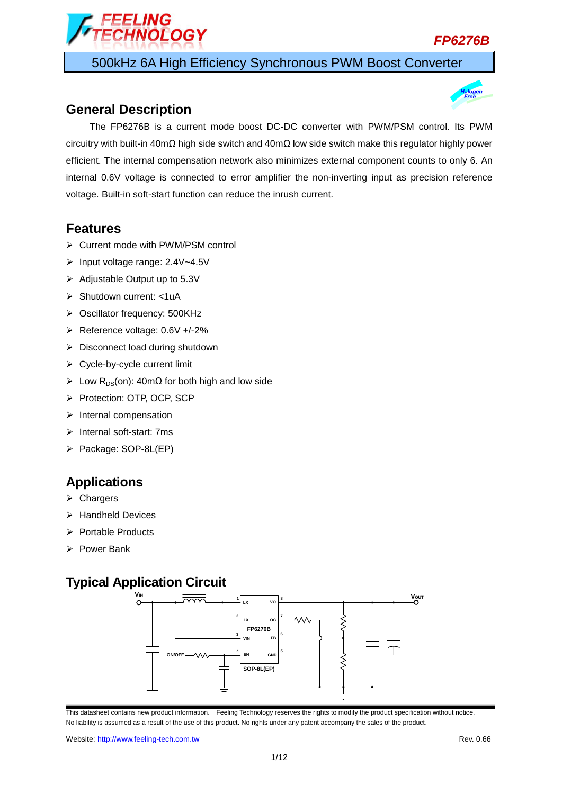

500kHz 6A High Efficiency Synchronous PWM Boost Converter

### **General Description**

FFI ING

**INOLOGY** 

The FP6276B is a current mode boost DC-DC converter with PWM/PSM control. Its PWM circuitry with built-in 40mΩ high side switch and 40mΩ low side switch make this regulator highly power efficient. The internal compensation network also minimizes external component counts to only 6. An internal 0.6V voltage is connected to error amplifier the non-inverting input as precision reference voltage. Built-in soft-start function can reduce the inrush current.

#### **Features**

- Current mode with PWM/PSM control
- Input voltage range: 2.4V~4.5V
- $\triangleright$  Adjustable Output up to 5.3V
- > Shutdown current: <1uA
- ▶ Oscillator frequency: 500KHz
- Reference voltage: 0.6V +/-2%
- $\triangleright$  Disconnect load during shutdown
- $\triangleright$  Cycle-by-cycle current limit
- $\triangleright$  Low R<sub>DS</sub>(on): 40mΩ for both high and low side
- Protection: OTP, OCP, SCP
- $\triangleright$  Internal compensation
- $\triangleright$  Internal soft-start: 7ms
- Package: SOP-8L(EP)

### **Applications**

- $\triangleright$  Chargers
- $\triangleright$  Handheld Devices
- $\triangleright$  Portable Products
- Power Bank

## **Typical Application Circuit**



This datasheet contains new product information. Feeling Technology reserves the rights to modify the product specification without notice. No liability is assumed as a result of the use of this product. No rights under any patent accompany the sales of the product.

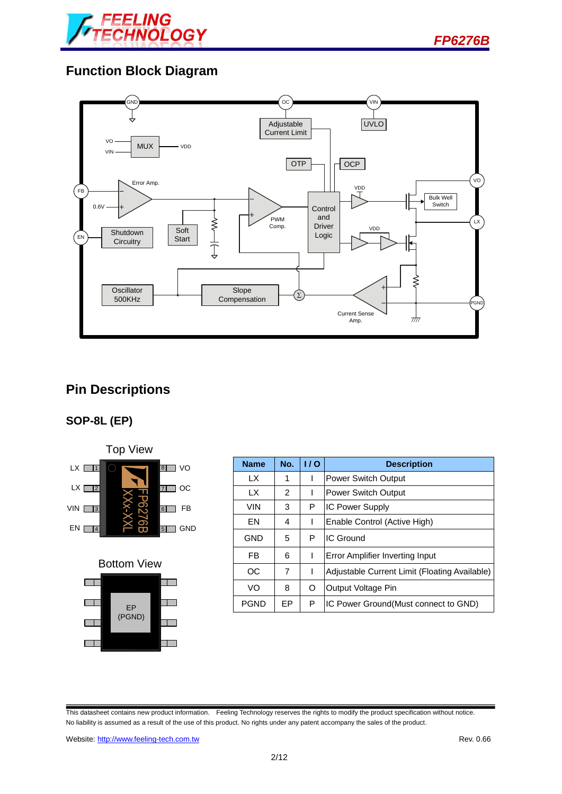

*FP6276B*

# **Function Block Diagram**



## **Pin Descriptions**

### **SOP-8L (EP)**





| <b>Name</b> | No. | 1/0 | <b>Description</b>                            |
|-------------|-----|-----|-----------------------------------------------|
| LX          | 1   |     | <b>Power Switch Output</b>                    |
| LX          | 2   |     | Power Switch Output                           |
| <b>VIN</b>  | 3   | P   | <b>IC Power Supply</b>                        |
| <b>FN</b>   | 4   | ı   | Enable Control (Active High)                  |
| GND         | 5   | P   | IC Ground                                     |
| FB          | 6   | ı   | Error Amplifier Inverting Input               |
| OC.         | 7   | ı   | Adjustable Current Limit (Floating Available) |
| VO          | 8   | O   | Output Voltage Pin                            |
| <b>PGND</b> | EP  | P   | IC Power Ground (Must connect to GND)         |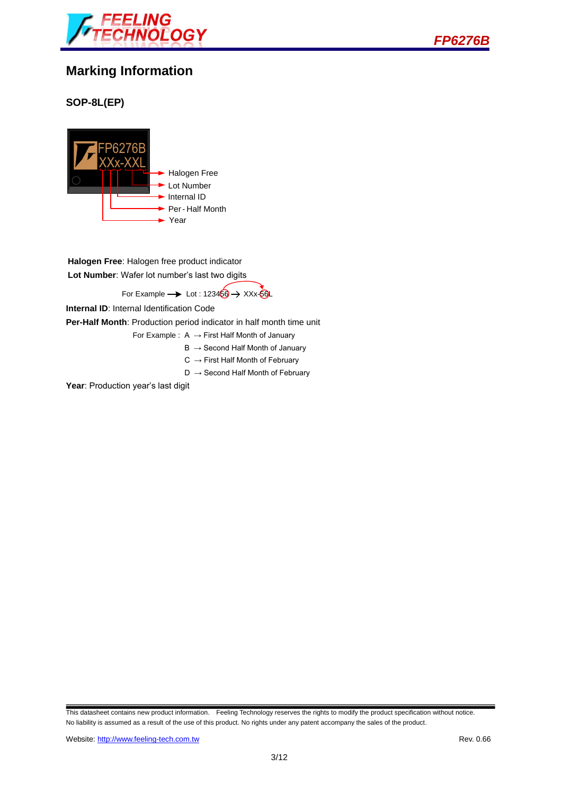



### **Marking Information**

#### **SOP-8L(EP)**



**Halogen Free**: Halogen free product indicator **Lot Number**: Wafer lot number's last two digits

For Example  $\rightarrow$  Lot : 123460  $\rightarrow$  XXx-60L

**Internal ID**: Internal Identification Code

**Per-Half Month**: Production period indicator in half month time unit

For Example :  $A \rightarrow$  First Half Month of January

- $B \rightarrow$  Second Half Month of January
- $C \rightarrow$  First Half Month of February
- $D \rightarrow$  Second Half Month of February

Year: Production year's last digit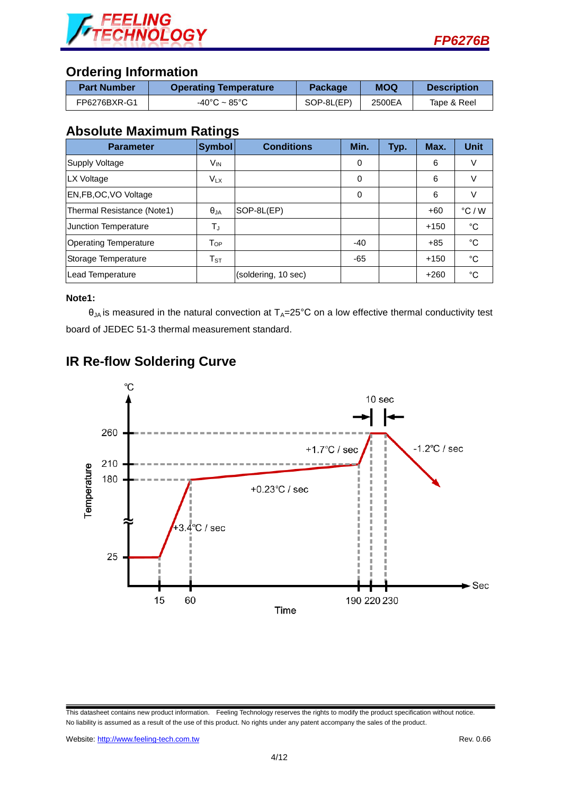

### **Ordering Information**

| <b>Part Number</b> | <b>Operating Temperature</b>      | Package    | <b>MOQ</b> | <b>Description</b> |
|--------------------|-----------------------------------|------------|------------|--------------------|
| FP6276BXR-G1       | $-40^{\circ}$ C ~ 85 $^{\circ}$ C | SOP-8L(EP) | 2500EA     | Tape & Reel        |

### **Absolute Maximum Ratings**

| <b>Parameter</b>             | <b>Symbol</b>      | <b>Conditions</b>   | Min.  | Typ. | Max.   | <b>Unit</b>     |
|------------------------------|--------------------|---------------------|-------|------|--------|-----------------|
| <b>Supply Voltage</b>        | V <sub>IN</sub>    |                     | 0     |      | 6      | V               |
| LX Voltage                   | $V_{LX}$           |                     | 0     |      | 6      | V               |
| EN, FB, OC, VO Voltage       |                    |                     | 0     |      | 6      |                 |
| Thermal Resistance (Note1)   | $\theta_{JA}$      | SOP-8L(EP)          |       |      | $+60$  | $\degree$ C / W |
| <b>Junction Temperature</b>  | TJ                 |                     |       |      | $+150$ | °C              |
| <b>Operating Temperature</b> | $T_{OP}$           |                     | $-40$ |      | $+85$  | °C              |
| Storage Temperature          | ${\sf T}_{\sf ST}$ |                     | $-65$ |      | $+150$ | °C              |
| Lead Temperature             |                    | (soldering, 10 sec) |       |      | $+260$ | °C              |

#### **Note1:**

 $\theta_{JA}$  is measured in the natural convection at  $T_A=25^{\circ}C$  on a low effective thermal conductivity test board of JEDEC 51-3 thermal measurement standard.



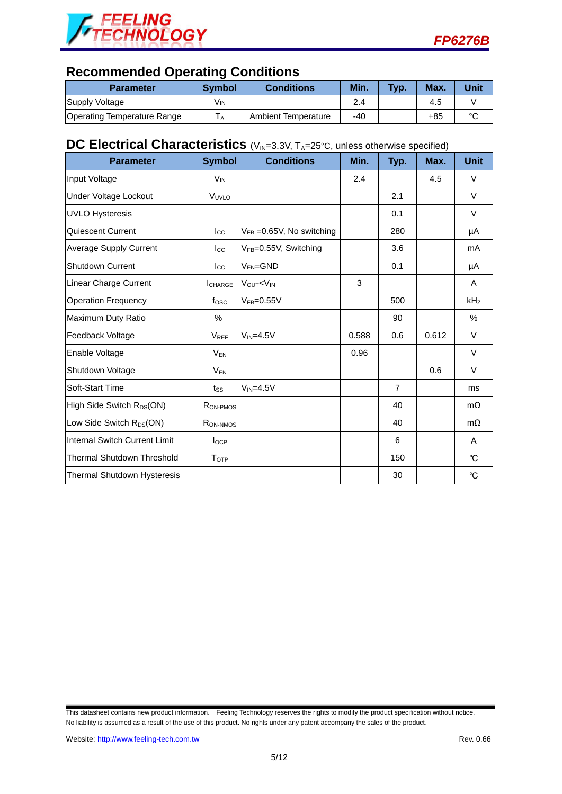



# **Recommended Operating Conditions**

| <b>Parameter</b>            | <b>Symbol</b> | <b>Conditions</b>   | Min. | Typ. | Max. | Unit   |
|-----------------------------|---------------|---------------------|------|------|------|--------|
| Supply Voltage              | Vın           |                     | 2.4  |      | 4.5  |        |
| Operating Temperature Range |               | Ambient Temperature | -40  |      | +85  | $\sim$ |

## **DC Electrical Characteristics** (V<sub>IN</sub>=3.3V, T<sub>A</sub>=25°C, unless otherwise specified)

| <b>Parameter</b>                      | <b>Symbol</b>    | <b>Conditions</b>                                              | Min.  | Typ.           | Max.  | <b>Unit</b>     |
|---------------------------------------|------------------|----------------------------------------------------------------|-------|----------------|-------|-----------------|
| Input Voltage                         | V <sub>IN</sub>  |                                                                | 2.4   |                | 4.5   | V               |
| Under Voltage Lockout                 | VUVLO            |                                                                |       | 2.1            |       | $\vee$          |
| <b>UVLO Hysteresis</b>                |                  |                                                                |       | 0.1            |       | $\vee$          |
| <b>Quiescent Current</b>              | $_{\text{Lcc}}$  | $V_{FB} = 0.65V$ , No switching                                |       | 280            |       | μA              |
| Average Supply Current                | $I_{\rm CC}$     | V <sub>FB</sub> =0.55V, Switching                              |       | 3.6            |       | mA              |
| <b>Shutdown Current</b>               | $_{\rm lcc}$     | $V_{EN} = GND$                                                 |       | 0.1            |       | μA              |
| Linear Charge Current                 | <b>I</b> CHARGE  | VOUT <vin< td=""><td>3</td><td></td><td></td><td>A</td></vin<> | 3     |                |       | A               |
| <b>Operation Frequency</b>            | $f_{\rm{OSC}}$   | $V_{FB} = 0.55V$                                               |       | 500            |       | kH <sub>Z</sub> |
| Maximum Duty Ratio                    | %                |                                                                |       | 90             |       | %               |
| Feedback Voltage                      | $V_{REF}$        | $V_{IN} = 4.5V$                                                | 0.588 | 0.6            | 0.612 | V               |
| Enable Voltage                        | $V_{EN}$         |                                                                | 0.96  |                |       | $\vee$          |
| Shutdown Voltage                      | V <sub>EN</sub>  |                                                                |       |                | 0.6   | V               |
| Soft-Start Time                       | $t_{SS}$         | $V_{IN} = 4.5V$                                                |       | $\overline{7}$ |       | ms              |
| High Side Switch R <sub>DS</sub> (ON) | RON-PMOS         |                                                                |       | 40             |       | $m\Omega$       |
| Low Side Switch R <sub>DS</sub> (ON)  | RON-NMOS         |                                                                |       | 40             |       | $m\Omega$       |
| Internal Switch Current Limit         | $I_{OCP}$        |                                                                |       | 6              |       | A               |
| <b>Thermal Shutdown Threshold</b>     | T <sub>OTP</sub> |                                                                |       | 150            |       | °C              |
| Thermal Shutdown Hysteresis           |                  |                                                                |       | 30             |       | °C              |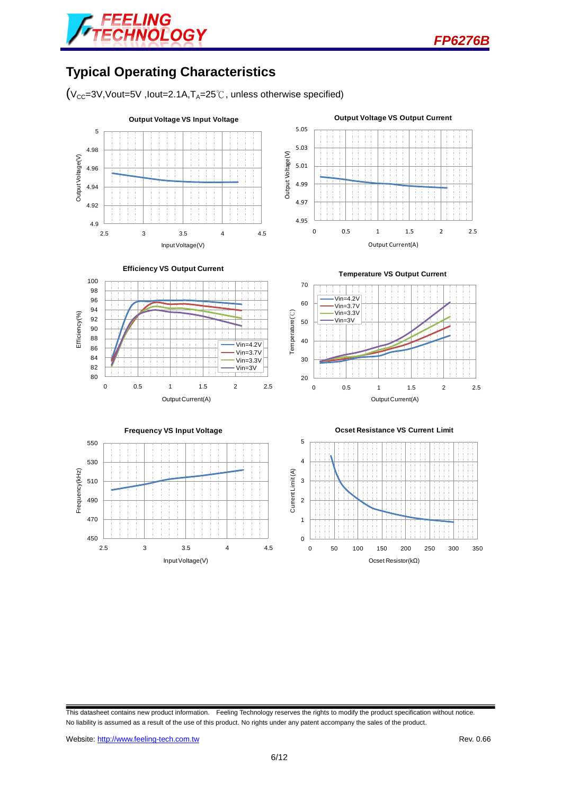

# **Typical Operating Characteristics**

 $(V_{CC}=3V,Vout=5V$ , lout=2.1A,  $T_A=25^\circ\text{C}$ , unless otherwise specified)

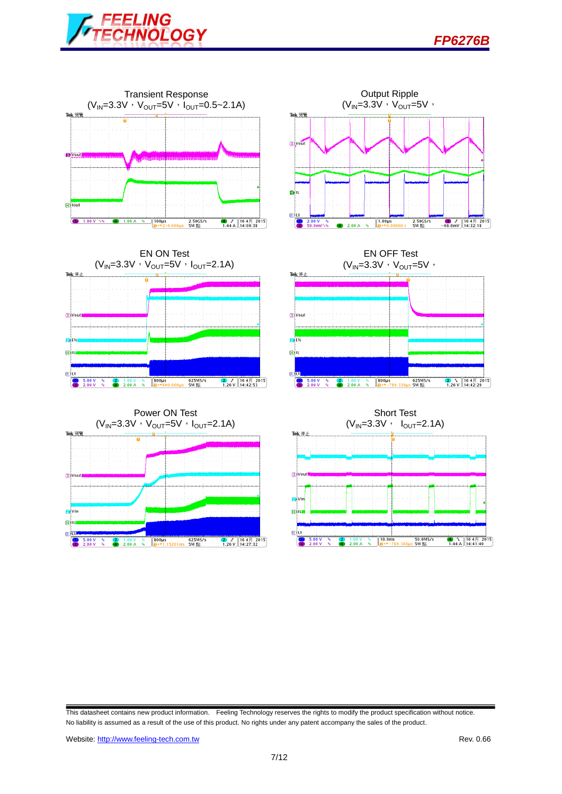











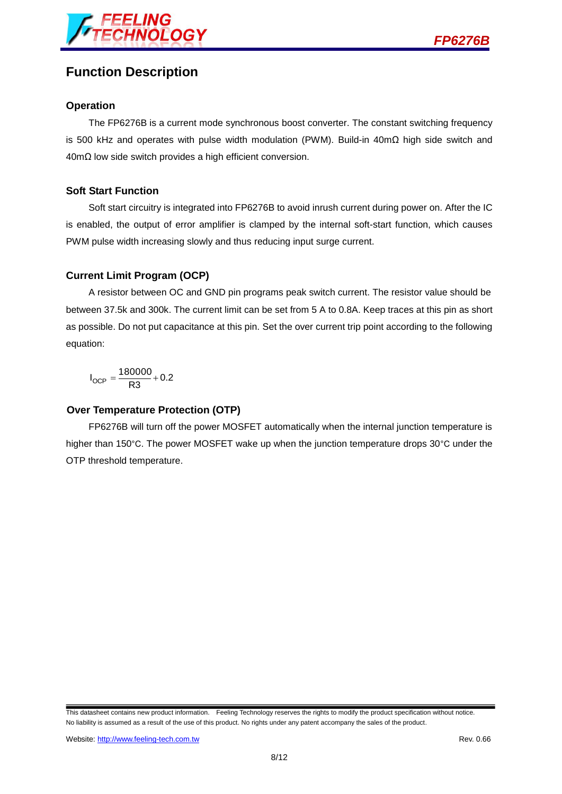

## **Function Description**

#### **Operation**

The FP6276B is a current mode synchronous boost converter. The constant switching frequency is 500 kHz and operates with pulse width modulation (PWM). Build-in 40mΩ high side switch and 40mΩ low side switch provides a high efficient conversion.

#### **Soft Start Function**

Soft start circuitry is integrated into FP6276B to avoid inrush current during power on. After the IC is enabled, the output of error amplifier is clamped by the internal soft-start function, which causes PWM pulse width increasing slowly and thus reducing input surge current.

#### **Current Limit Program (OCP)**

A resistor between OC and GND pin programs peak switch current. The resistor value should be between 37.5k and 300k. The current limit can be set from 5 A to 0.8A. Keep traces at this pin as short as possible. Do not put capacitance at this pin. Set the over current trip point according to the following equation:

 $I_{OCP} = \frac{180000}{R3} + 0.2$ 

#### **Over Temperature Protection (OTP)**

FP6276B will turn off the power MOSFET automatically when the internal junction temperature is higher than 150°C. The power MOSFET wake up when the junction temperature drops 30°C under the OTP threshold temperature.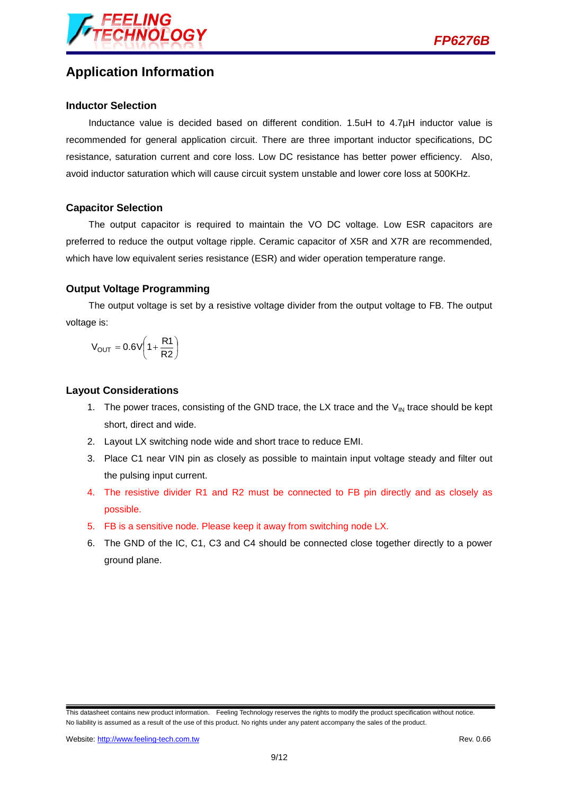

# **Application Information**

#### **Inductor Selection**

Inductance value is decided based on different condition. 1.5uH to 4.7µH inductor value is recommended for general application circuit. There are three important inductor specifications, DC resistance, saturation current and core loss. Low DC resistance has better power efficiency. Also, avoid inductor saturation which will cause circuit system unstable and lower core loss at 500KHz.

#### **Capacitor Selection**

The output capacitor is required to maintain the VO DC voltage. Low ESR capacitors are preferred to reduce the output voltage ripple. Ceramic capacitor of X5R and X7R are recommended, which have low equivalent series resistance (ESR) and wider operation temperature range.

#### **Output Voltage Programming**

The output voltage is set by a resistive voltage divider from the output voltage to FB. The output voltage is:

$$
V_{OUT} = 0.6V \left(1 + \frac{R1}{R2}\right)
$$

#### **Layout Considerations**

- 1. The power traces, consisting of the GND trace, the LX trace and the  $V_{\text{IN}}$  trace should be kept short, direct and wide.
- 2. Layout LX switching node wide and short trace to reduce EMI.
- 3. Place C1 near VIN pin as closely as possible to maintain input voltage steady and filter out the pulsing input current.
- 4. The resistive divider R1 and R2 must be connected to FB pin directly and as closely as possible.
- 5. FB is a sensitive node. Please keep it away from switching node LX.
- 6. The GND of the IC, C1, C3 and C4 should be connected close together directly to a power ground plane.

This datasheet contains new product information. Feeling Technology reserves the rights to modify the product specification without notice. No liability is assumed as a result of the use of this product. No rights under any patent accompany the sales of the product.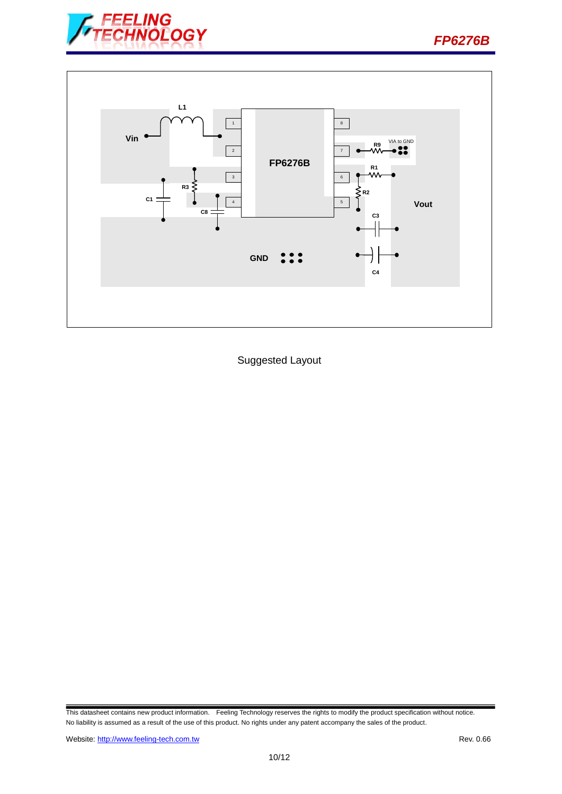



Suggested Layout

This datasheet contains new product information. Feeling Technology reserves the rights to modify the product specification without notice. No liability is assumed as a result of the use of this product. No rights under any patent accompany the sales of the product.

*FP6276B*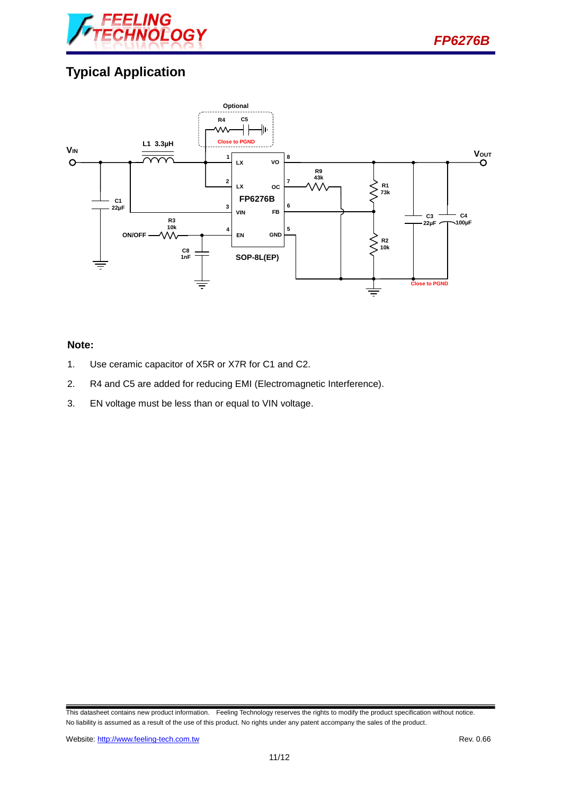

# **Typical Application**



#### **Note:**

- 1. Use ceramic capacitor of X5R or X7R for C1 and C2.
- 2. R4 and C5 are added for reducing EMI (Electromagnetic Interference).
- 3. EN voltage must be less than or equal to VIN voltage.